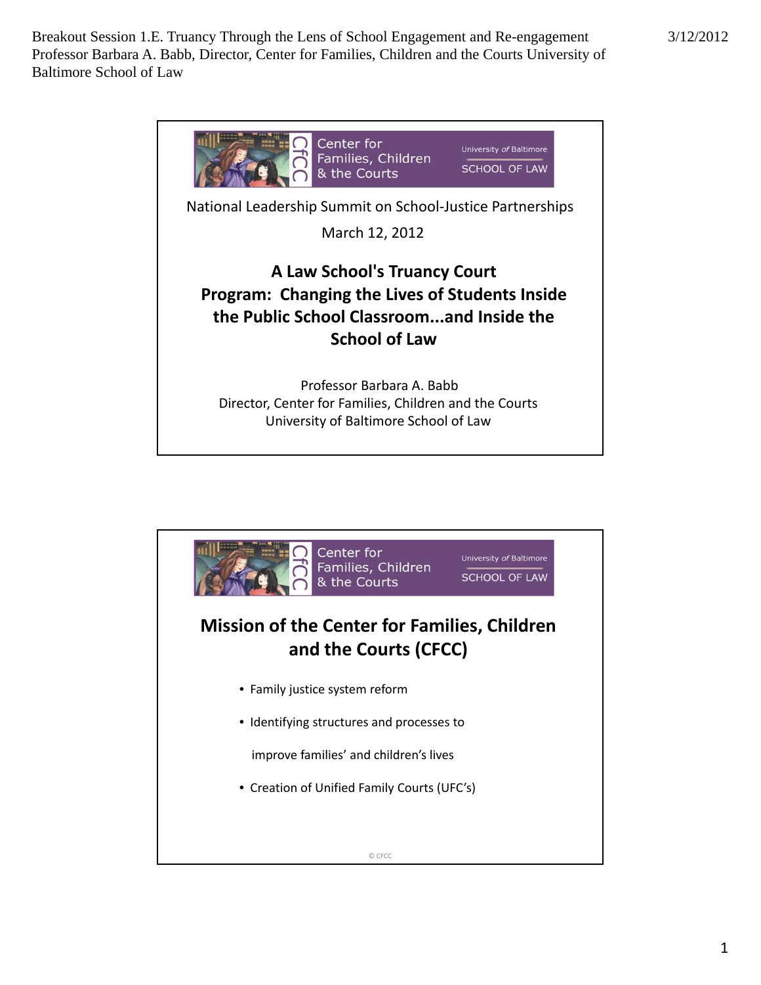

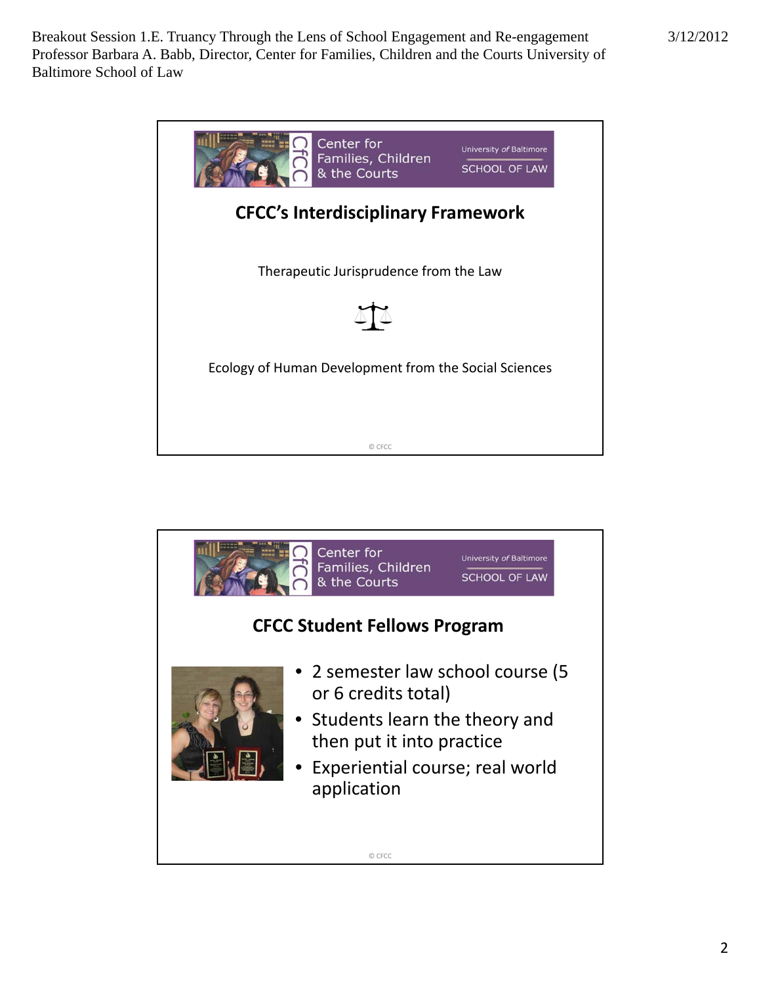

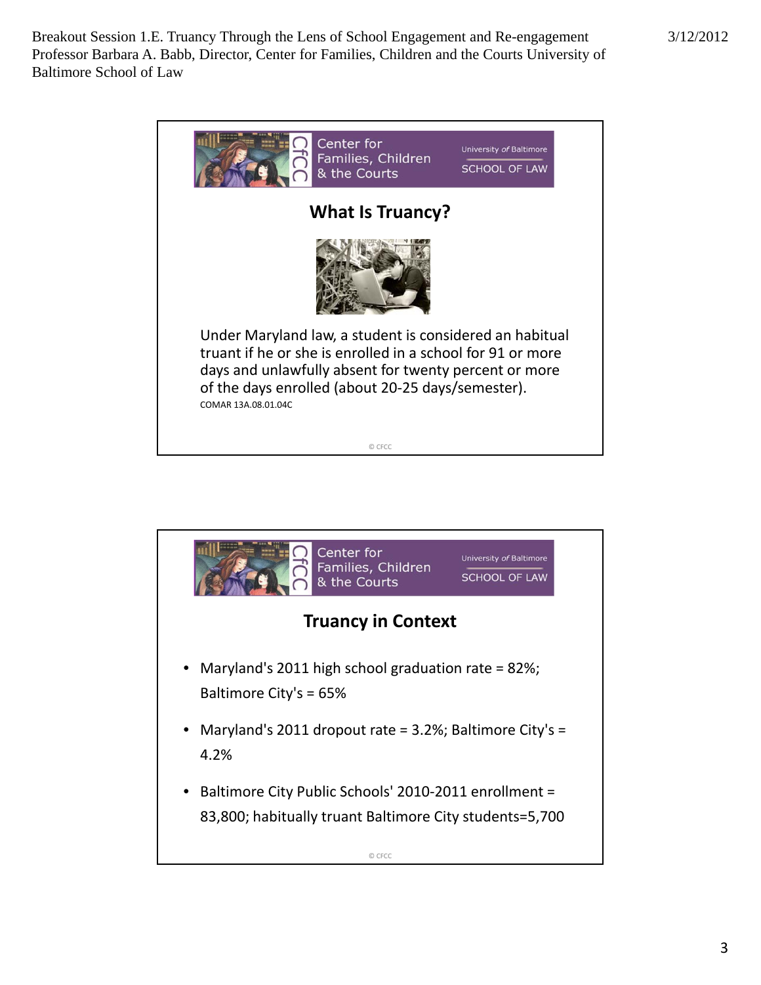| Center for<br>Families, Children<br>& the Courts                                                                                                                                                                                                           | University of Baltimore<br><b>SCHOOL OF LAW</b> |
|------------------------------------------------------------------------------------------------------------------------------------------------------------------------------------------------------------------------------------------------------------|-------------------------------------------------|
| <b>What Is Truancy?</b>                                                                                                                                                                                                                                    |                                                 |
|                                                                                                                                                                                                                                                            |                                                 |
| Under Maryland law, a student is considered an habitual<br>truant if he or she is enrolled in a school for 91 or more<br>days and unlawfully absent for twenty percent or more<br>of the days enrolled (about 20-25 days/semester).<br>COMAR 13A.08.01.04C |                                                 |
| © CFCC                                                                                                                                                                                                                                                     |                                                 |

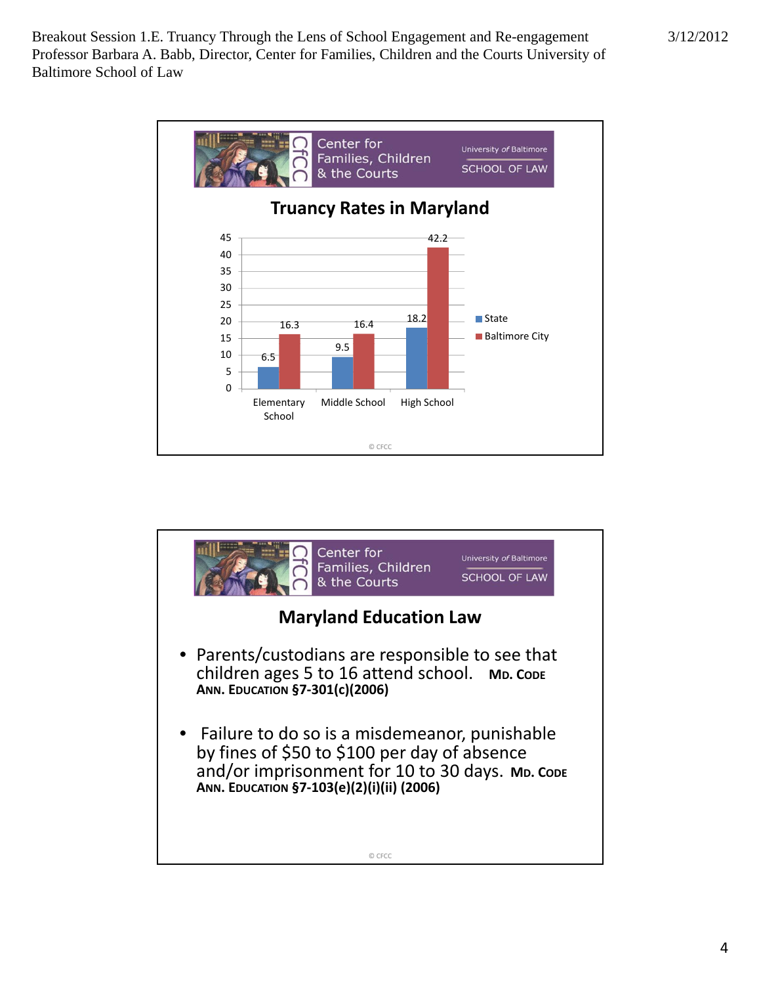

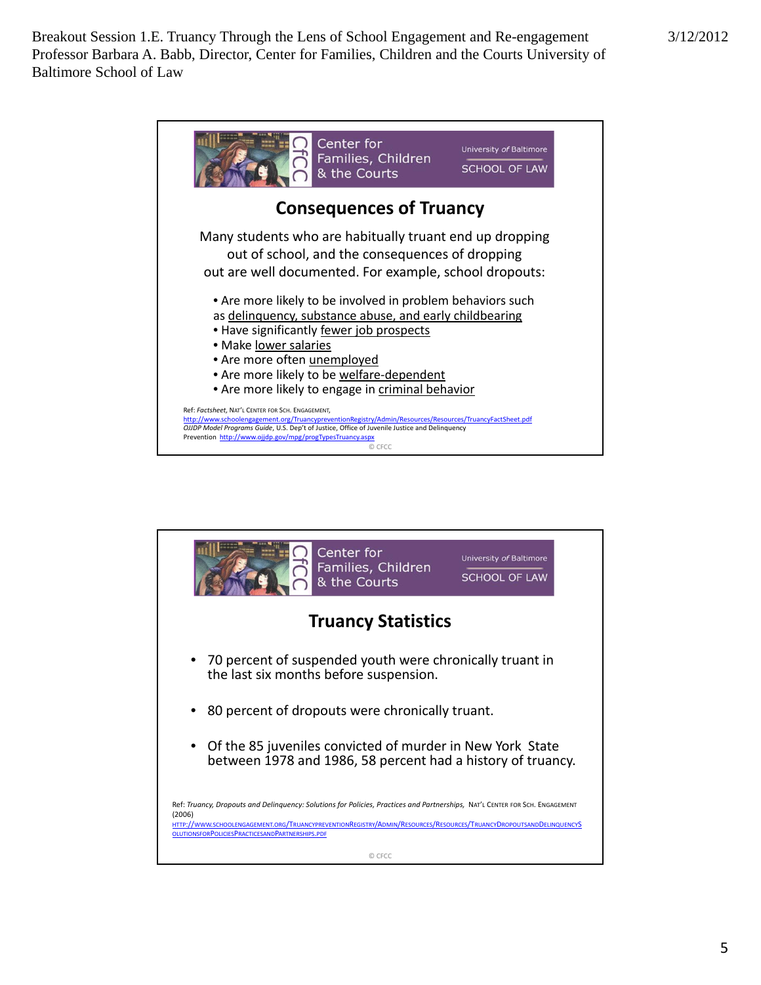

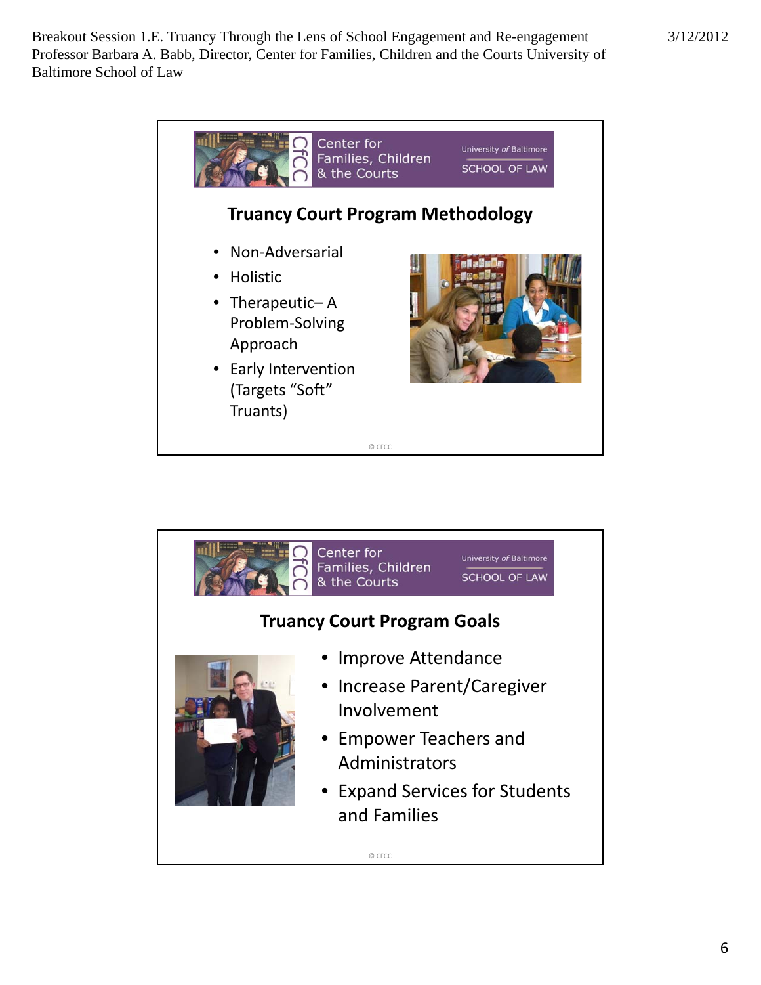

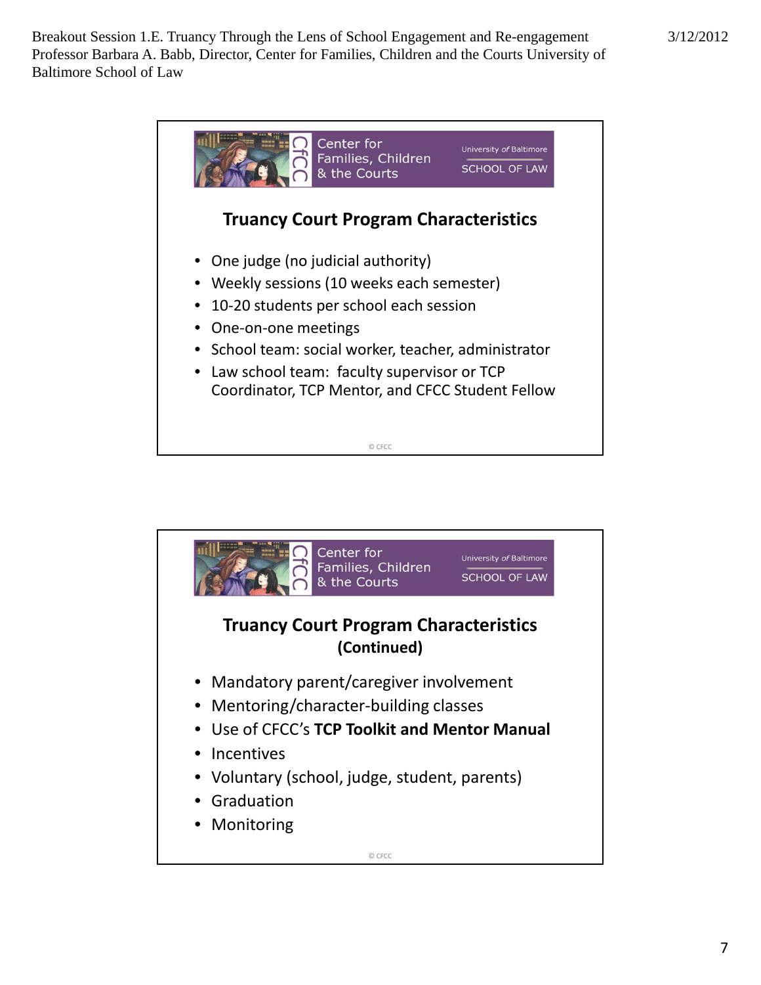

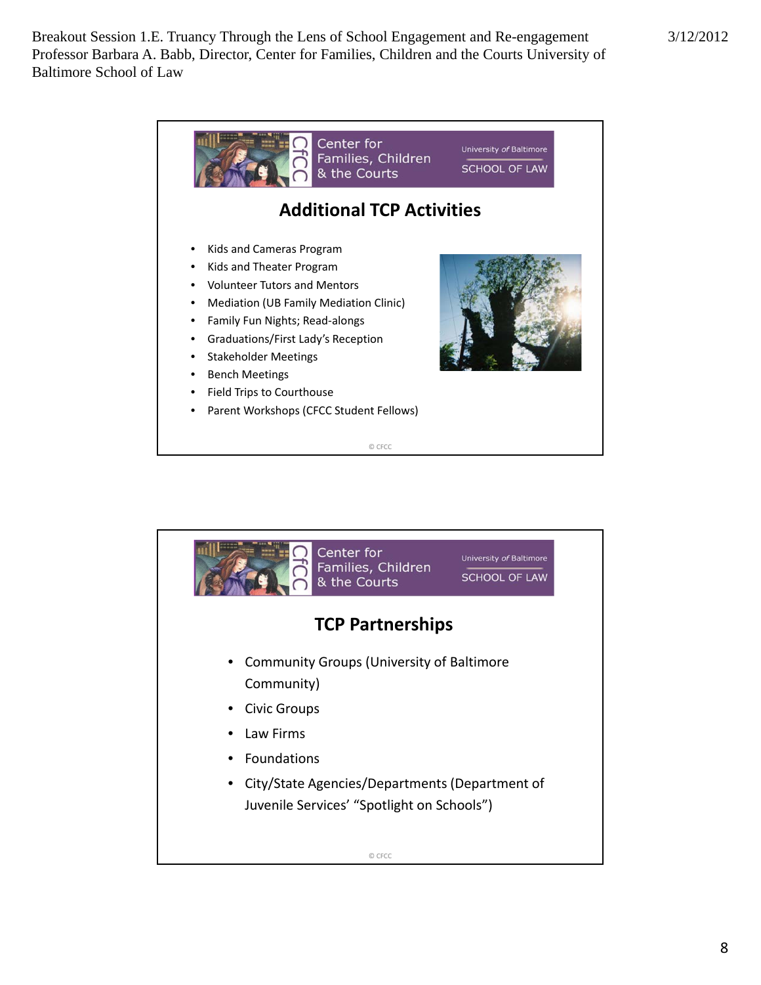

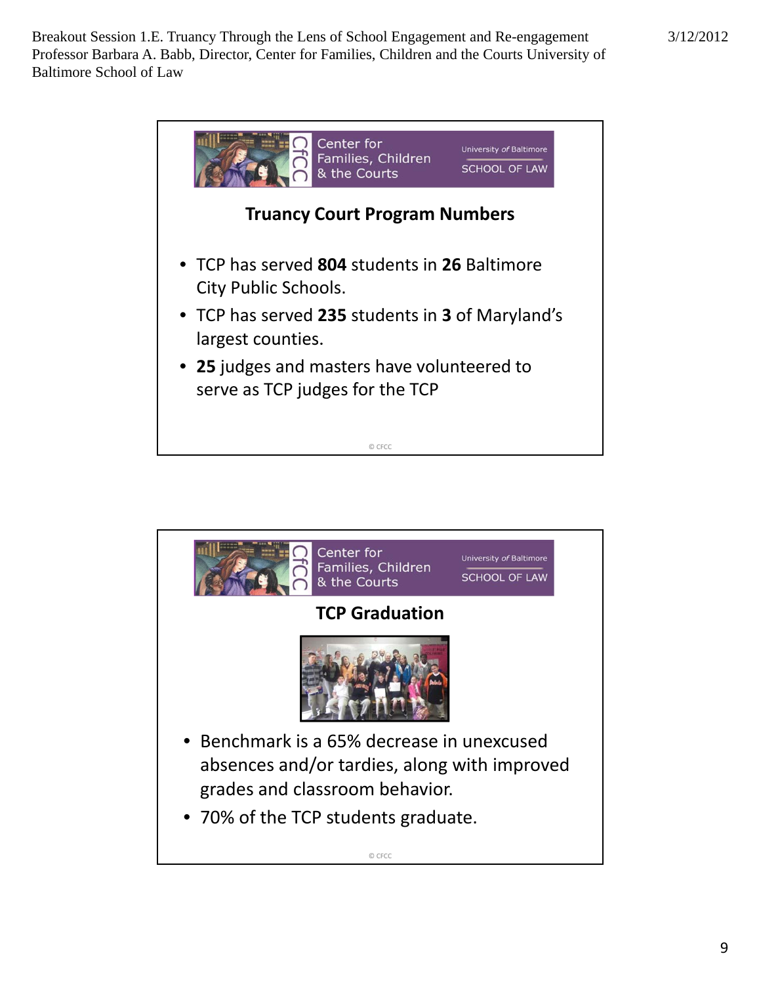

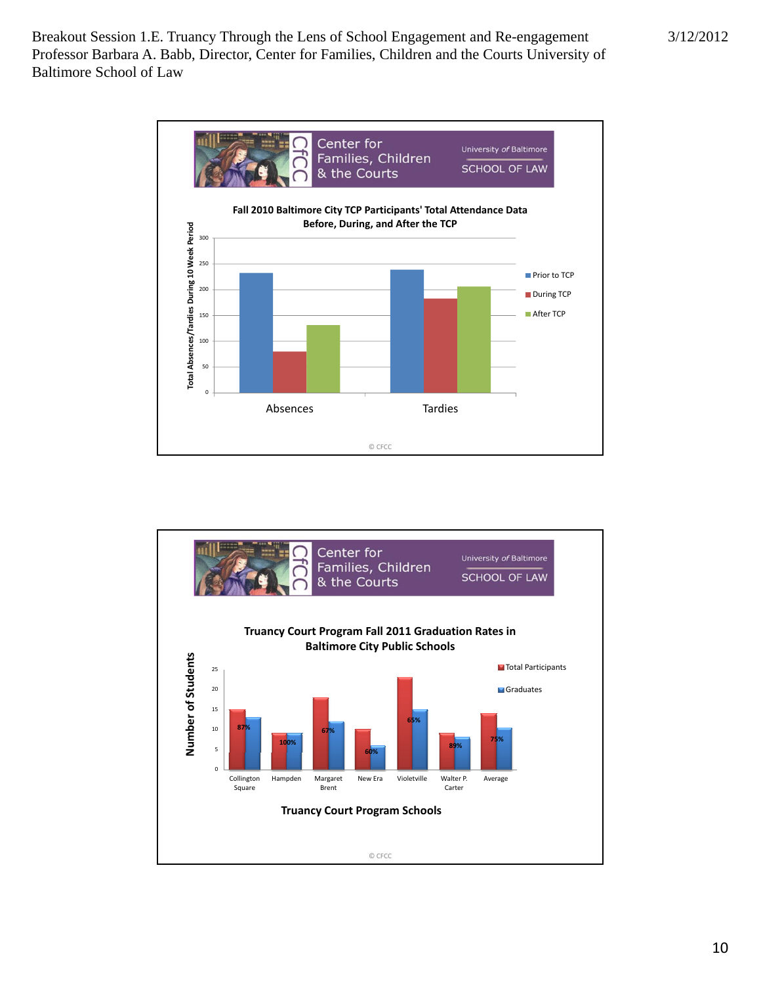

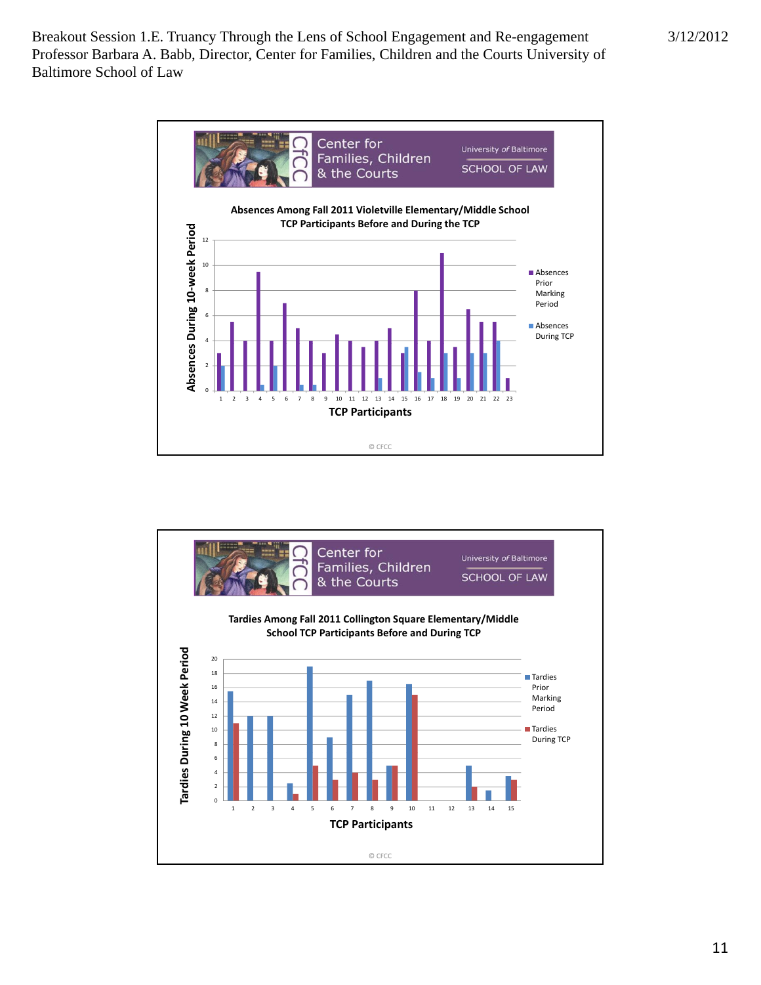

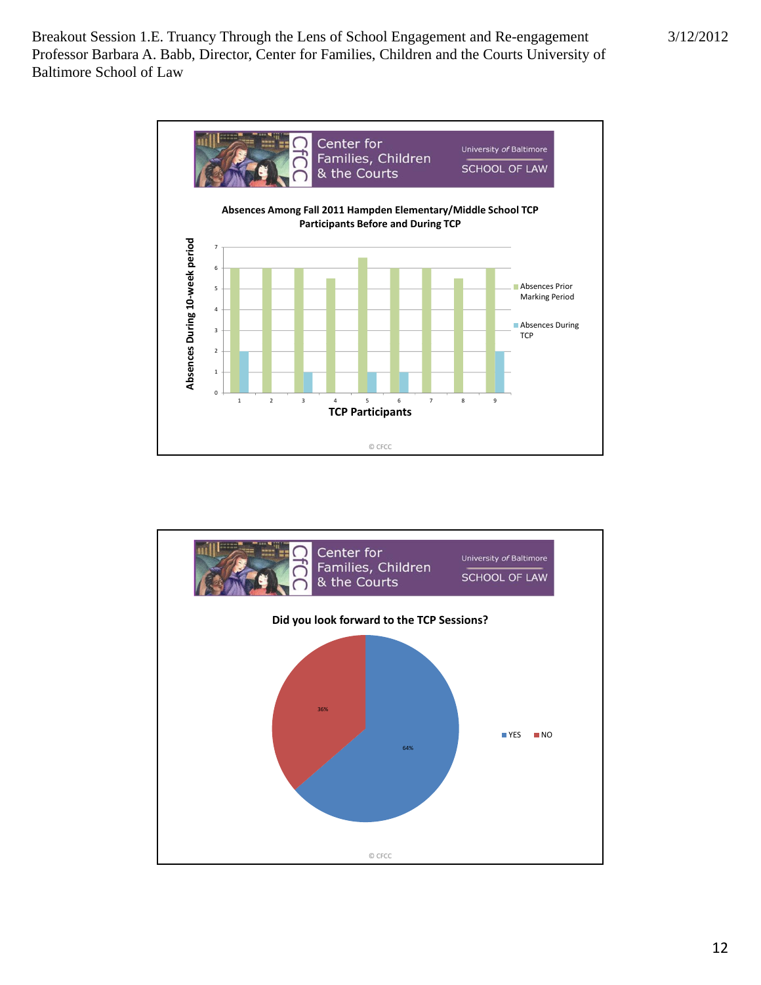

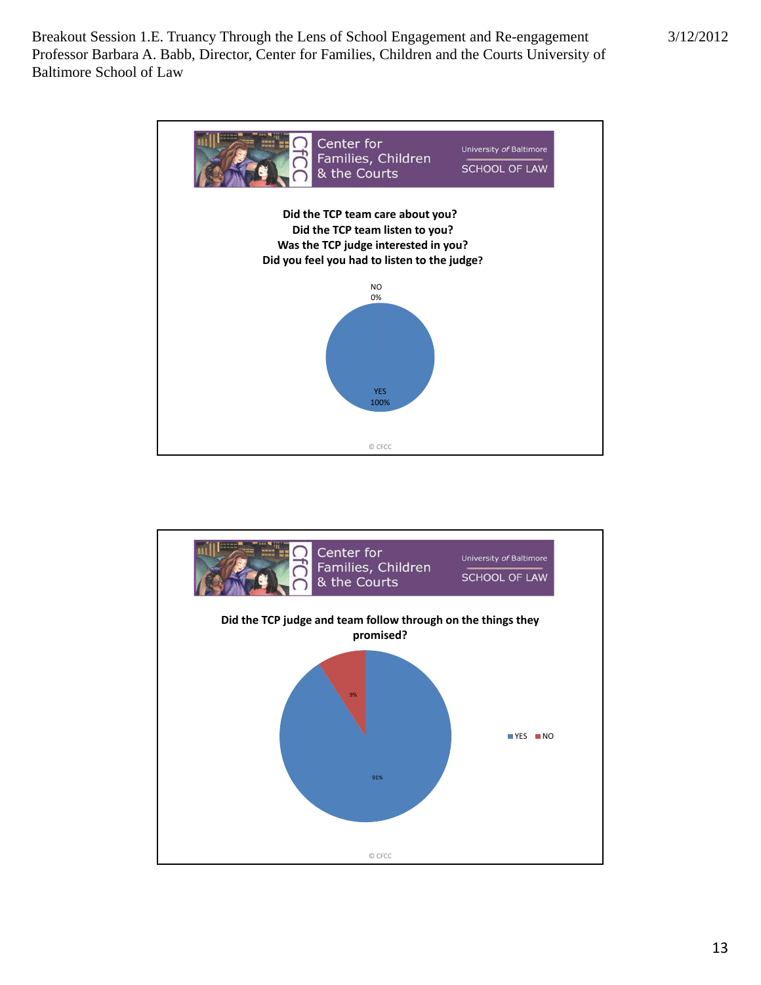

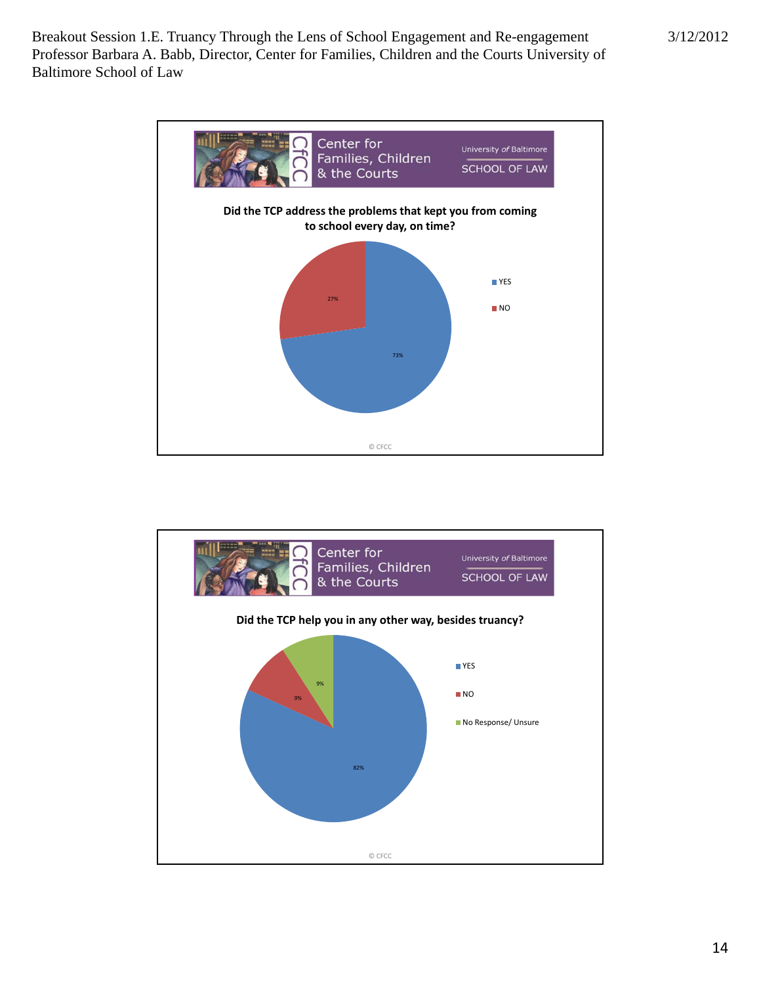

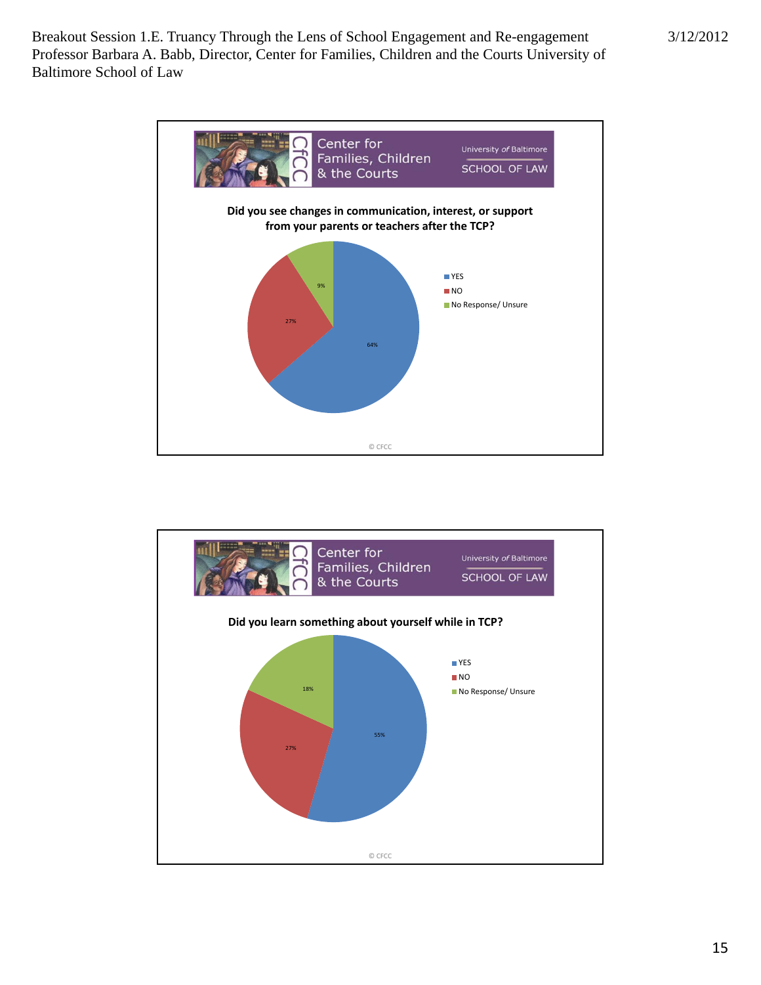

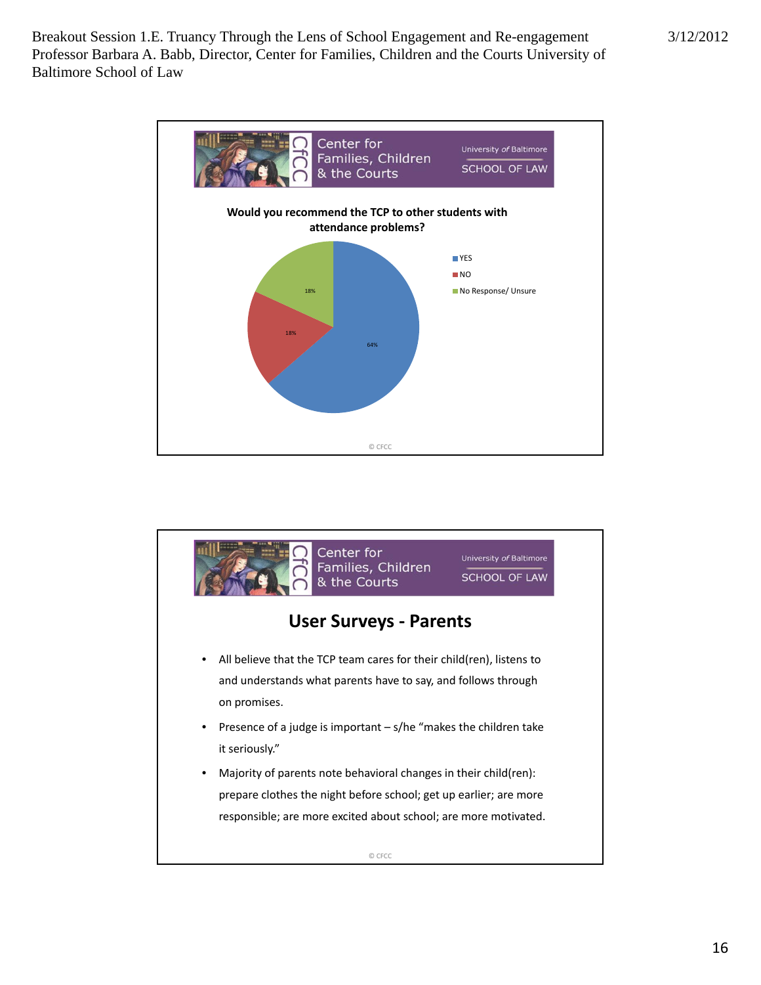